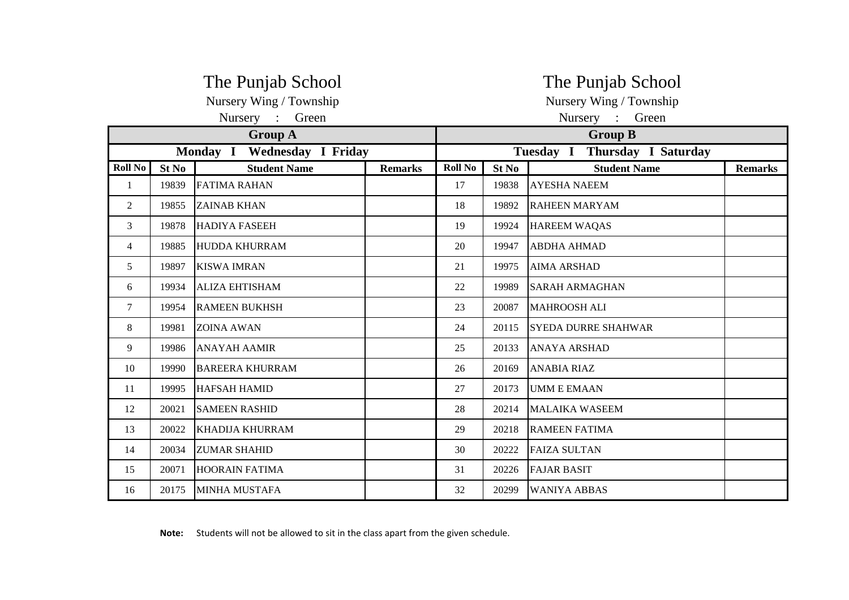|                |                             | The Punjab School       |                | The Punjab School  |       |                               |                |  |  |
|----------------|-----------------------------|-------------------------|----------------|--------------------|-------|-------------------------------|----------------|--|--|
|                |                             | Nursery Wing / Township |                |                    |       | Nursery Wing / Township       |                |  |  |
|                |                             | Nursery :<br>Green      |                | Nursery :<br>Green |       |                               |                |  |  |
|                |                             | <b>Group A</b>          |                |                    |       | <b>Group B</b>                |                |  |  |
|                | Monday I Wednesday I Friday |                         |                |                    |       | Tuesday I Thursday I Saturday |                |  |  |
| <b>Roll No</b> | St No                       | <b>Student Name</b>     | <b>Remarks</b> | <b>Roll No</b>     | St No | <b>Student Name</b>           | <b>Remarks</b> |  |  |
| 1              | 19839                       | <b>FATIMA RAHAN</b>     |                | 17                 | 19838 | <b>AYESHA NAEEM</b>           |                |  |  |
| 2              | 19855                       | <b>ZAINAB KHAN</b>      |                | 18                 | 19892 | <b>RAHEEN MARYAM</b>          |                |  |  |
| 3              | 19878                       | <b>HADIYA FASEEH</b>    |                | 19                 | 19924 | <b>HAREEM WAQAS</b>           |                |  |  |
| 4              | 19885                       | <b>HUDDA KHURRAM</b>    |                | 20                 | 19947 | <b>ABDHA AHMAD</b>            |                |  |  |
| 5              | 19897                       | <b>KISWA IMRAN</b>      |                | 21                 | 19975 | <b>AIMA ARSHAD</b>            |                |  |  |
| 6              | 19934                       | <b>ALIZA EHTISHAM</b>   |                | 22                 | 19989 | <b>SARAH ARMAGHAN</b>         |                |  |  |
| 7              | 19954                       | <b>RAMEEN BUKHSH</b>    |                | 23                 | 20087 | <b>MAHROOSH ALI</b>           |                |  |  |
| 8              | 19981                       | <b>ZOINA AWAN</b>       |                | 24                 | 20115 | <b>SYEDA DURRE SHAHWAR</b>    |                |  |  |
| 9              | 19986                       | <b>ANAYAH AAMIR</b>     |                | 25                 | 20133 | <b>ANAYA ARSHAD</b>           |                |  |  |
| 10             | 19990                       | <b>BAREERA KHURRAM</b>  |                | 26                 | 20169 | <b>ANABIA RIAZ</b>            |                |  |  |
| 11             | 19995                       | <b>HAFSAH HAMID</b>     |                | 27                 | 20173 | <b>UMM E EMAAN</b>            |                |  |  |
| 12             | 20021                       | <b>SAMEEN RASHID</b>    |                | 28                 | 20214 | <b>MALAIKA WASEEM</b>         |                |  |  |
| 13             | 20022                       | <b>KHADIJA KHURRAM</b>  |                | 29                 | 20218 | <b>RAMEEN FATIMA</b>          |                |  |  |
| 14             | 20034                       | <b>ZUMAR SHAHID</b>     |                | 30                 | 20222 | <b>FAIZA SULTAN</b>           |                |  |  |
| 15             | 20071                       | <b>HOORAIN FATIMA</b>   |                | 31                 | 20226 | <b>FAJAR BASIT</b>            |                |  |  |
| 16             | 20175                       | <b>MINHA MUSTAFA</b>    |                | 32                 | 20299 | <b>WANIYA ABBAS</b>           |                |  |  |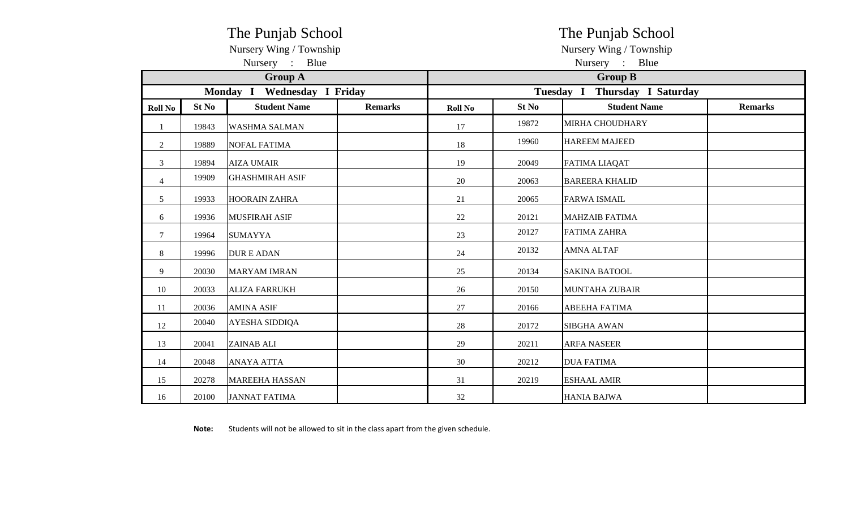|                |       | The Punjab School           |                |                                  | The Punjab School |                       |                |  |  |  |
|----------------|-------|-----------------------------|----------------|----------------------------------|-------------------|-----------------------|----------------|--|--|--|
|                |       | Nursery Wing / Township     |                | Nursery Wing / Township          |                   |                       |                |  |  |  |
|                |       | Nursery : Blue              |                | Nursery : Blue                   |                   |                       |                |  |  |  |
|                |       | <b>Group A</b>              |                | <b>Group B</b>                   |                   |                       |                |  |  |  |
|                |       | Monday I Wednesday I Friday |                | Thursday I Saturday<br>Tuesday I |                   |                       |                |  |  |  |
| <b>Roll No</b> | St No | <b>Student Name</b>         | <b>Remarks</b> | <b>Roll No</b>                   | St No             | <b>Student Name</b>   | <b>Remarks</b> |  |  |  |
| $\mathbf{1}$   | 19843 | <b>WASHMA SALMAN</b>        |                | 17                               | 19872             | MIRHA CHOUDHARY       |                |  |  |  |
| $\overline{2}$ | 19889 | <b>NOFAL FATIMA</b>         |                | 18                               | 19960             | <b>HAREEM MAJEED</b>  |                |  |  |  |
| 3              | 19894 | <b>AIZA UMAIR</b>           |                | 19                               | 20049             | <b>FATIMA LIAQAT</b>  |                |  |  |  |
| $\overline{4}$ | 19909 | <b>GHASHMIRAH ASIF</b>      |                | 20                               | 20063             | <b>BAREERA KHALID</b> |                |  |  |  |
| 5              | 19933 | <b>HOORAIN ZAHRA</b>        |                | 21                               | 20065             | <b>FARWA ISMAIL</b>   |                |  |  |  |
| 6              | 19936 | <b>MUSFIRAH ASIF</b>        |                | 22                               | 20121             | <b>MAHZAIB FATIMA</b> |                |  |  |  |
| $\tau$         | 19964 | <b>SUMAYYA</b>              |                | 23                               | 20127             | <b>FATIMA ZAHRA</b>   |                |  |  |  |
| $8\,$          | 19996 | <b>DURE ADAN</b>            |                | 24                               | 20132             | <b>AMNA ALTAF</b>     |                |  |  |  |
| 9              | 20030 | <b>MARYAM IMRAN</b>         |                | 25                               | 20134             | <b>SAKINA BATOOL</b>  |                |  |  |  |
| 10             | 20033 | <b>ALIZA FARRUKH</b>        |                | 26                               | 20150             | <b>MUNTAHA ZUBAIR</b> |                |  |  |  |
| 11             | 20036 | <b>AMINA ASIF</b>           |                | 27                               | 20166             | <b>ABEEHA FATIMA</b>  |                |  |  |  |
| 12             | 20040 | AYESHA SIDDIQA              |                | 28                               | 20172             | <b>SIBGHA AWAN</b>    |                |  |  |  |
| 13             | 20041 | <b>ZAINAB ALI</b>           |                | 29                               | 20211             | <b>ARFA NASEER</b>    |                |  |  |  |
| 14             | 20048 | <b>ANAYA ATTA</b>           |                | 30                               | 20212             | <b>DUA FATIMA</b>     |                |  |  |  |
| 15             | 20278 | <b>MAREEHA HASSAN</b>       |                | 31                               | 20219             | <b>ESHAAL AMIR</b>    |                |  |  |  |
| 16             | 20100 | <b>JANNAT FATIMA</b>        |                | 32                               |                   | <b>HANIA BAJWA</b>    |                |  |  |  |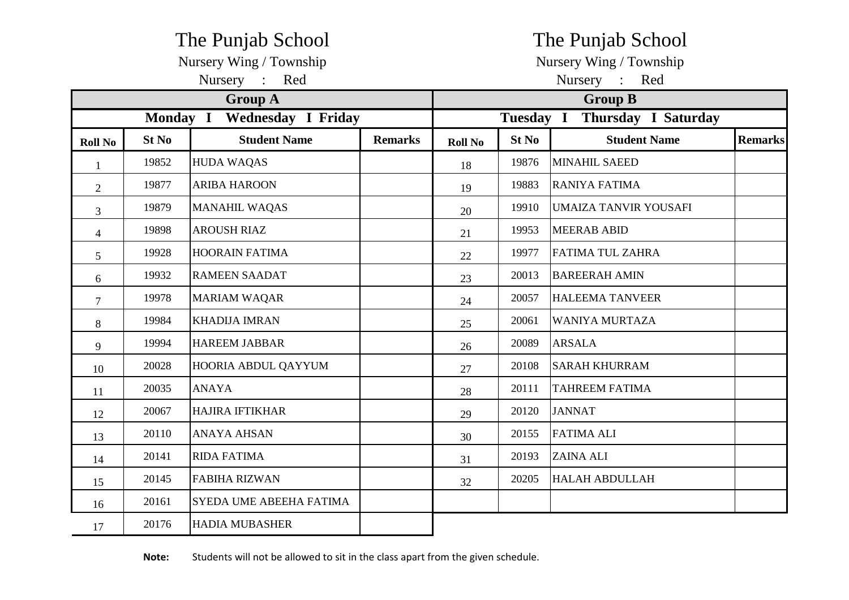|                |       | The Punjab School              |                | The Punjab School |       |                               |                |  |  |  |
|----------------|-------|--------------------------------|----------------|-------------------|-------|-------------------------------|----------------|--|--|--|
|                |       | Nursery Wing / Township        |                |                   |       | Nursery Wing / Township       |                |  |  |  |
|                |       | Nursery : Red                  |                | Nursery :<br>Red  |       |                               |                |  |  |  |
|                |       | <b>Group A</b>                 |                | <b>Group B</b>    |       |                               |                |  |  |  |
|                |       | Monday I Wednesday I Friday    |                |                   |       | Tuesday I Thursday I Saturday |                |  |  |  |
| <b>Roll No</b> | St No | <b>Student Name</b>            | <b>Remarks</b> | <b>Roll No</b>    | St No | <b>Student Name</b>           | <b>Remarks</b> |  |  |  |
| $\mathbf{1}$   | 19852 | <b>HUDA WAQAS</b>              |                | 18                | 19876 | MINAHIL SAEED                 |                |  |  |  |
| $\overline{2}$ | 19877 | <b>ARIBA HAROON</b>            |                | 19                | 19883 | RANIYA FATIMA                 |                |  |  |  |
| $\overline{3}$ | 19879 | <b>MANAHIL WAQAS</b>           |                | 20                | 19910 | <b>UMAIZA TANVIR YOUSAFI</b>  |                |  |  |  |
| $\overline{4}$ | 19898 | <b>AROUSH RIAZ</b>             |                | 21                | 19953 | <b>MEERAB ABID</b>            |                |  |  |  |
| 5              | 19928 | <b>HOORAIN FATIMA</b>          |                | 22                | 19977 | <b>FATIMA TUL ZAHRA</b>       |                |  |  |  |
| 6              | 19932 | <b>RAMEEN SAADAT</b>           |                | 23                | 20013 | <b>BAREERAH AMIN</b>          |                |  |  |  |
| $\overline{7}$ | 19978 | <b>MARIAM WAQAR</b>            |                | 24                | 20057 | <b>HALEEMA TANVEER</b>        |                |  |  |  |
| 8              | 19984 | <b>KHADIJA IMRAN</b>           |                | 25                | 20061 | <b>WANIYA MURTAZA</b>         |                |  |  |  |
| 9              | 19994 | <b>HAREEM JABBAR</b>           |                | 26                | 20089 | <b>ARSALA</b>                 |                |  |  |  |
| 10             | 20028 | HOORIA ABDUL QAYYUM            |                | 27                | 20108 | <b>SARAH KHURRAM</b>          |                |  |  |  |
| 11             | 20035 | <b>ANAYA</b>                   |                | 28                | 20111 | <b>TAHREEM FATIMA</b>         |                |  |  |  |
| 12             | 20067 | <b>HAJIRA IFTIKHAR</b>         |                | 29                | 20120 | <b>JANNAT</b>                 |                |  |  |  |
| 13             | 20110 | ANAYA AHSAN                    |                | 30                | 20155 | <b>FATIMA ALI</b>             |                |  |  |  |
| 14             | 20141 | <b>RIDA FATIMA</b>             |                | 31                | 20193 | <b>ZAINA ALI</b>              |                |  |  |  |
| 15             | 20145 | <b>FABIHA RIZWAN</b>           |                | 32                | 20205 | <b>HALAH ABDULLAH</b>         |                |  |  |  |
| 16             | 20161 | <b>SYEDA UME ABEEHA FATIMA</b> |                |                   |       |                               |                |  |  |  |
| 17             | 20176 | <b>HADIA MUBASHER</b>          |                |                   |       |                               |                |  |  |  |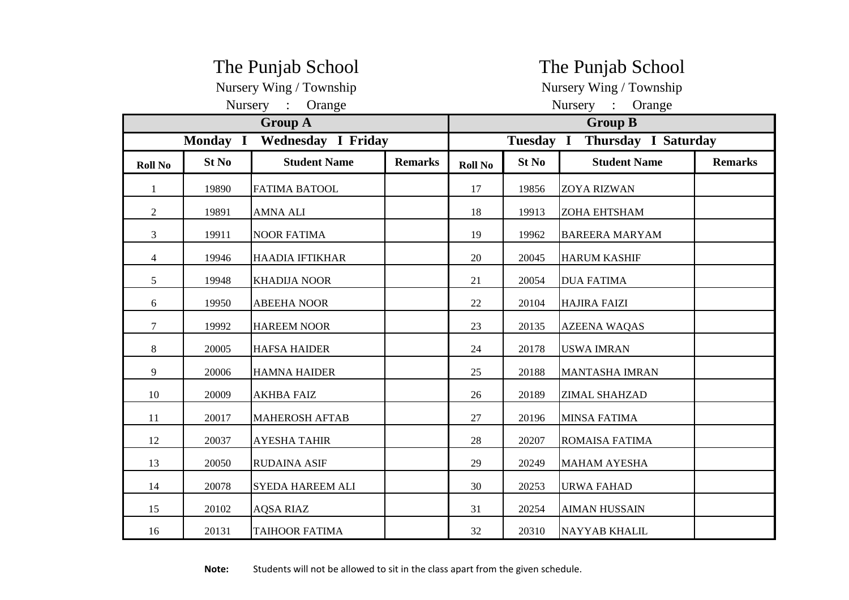|                | The Punjab School<br>Nursery Wing / Township<br>Nursery : Orange |                        |                |                |       | The Punjab School<br>Nursery Wing / Township<br>Nursery : Orange |                |  |  |  |
|----------------|------------------------------------------------------------------|------------------------|----------------|----------------|-------|------------------------------------------------------------------|----------------|--|--|--|
|                |                                                                  | <b>Group A</b>         |                | <b>Group B</b> |       |                                                                  |                |  |  |  |
|                | Monday I Wednesday I Friday                                      |                        |                |                |       | Tuesday I Thursday I Saturday                                    |                |  |  |  |
| <b>Roll No</b> | St No                                                            | <b>Student Name</b>    | <b>Remarks</b> | <b>Roll No</b> | St No | <b>Student Name</b>                                              | <b>Remarks</b> |  |  |  |
| 1              | 19890                                                            | <b>FATIMA BATOOL</b>   |                | 17             | 19856 | <b>ZOYA RIZWAN</b>                                               |                |  |  |  |
| 2              | 19891                                                            | <b>AMNA ALI</b>        |                | 18             | 19913 | <b>ZOHA EHTSHAM</b>                                              |                |  |  |  |
| 3              | 19911                                                            | <b>NOOR FATIMA</b>     |                | 19             | 19962 | <b>BAREERA MARYAM</b>                                            |                |  |  |  |
| 4              | 19946                                                            | <b>HAADIA IFTIKHAR</b> |                | 20             | 20045 | <b>HARUM KASHIF</b>                                              |                |  |  |  |
| 5              | 19948                                                            | <b>KHADIJA NOOR</b>    |                | 21             | 20054 | <b>DUA FATIMA</b>                                                |                |  |  |  |
| 6              | 19950                                                            | <b>ABEEHA NOOR</b>     |                | 22             | 20104 | <b>HAJIRA FAIZI</b>                                              |                |  |  |  |
| $\tau$         | 19992                                                            | <b>HAREEM NOOR</b>     |                | 23             | 20135 | <b>AZEENA WAQAS</b>                                              |                |  |  |  |
| 8              | 20005                                                            | <b>HAFSA HAIDER</b>    |                | 24             | 20178 | <b>USWA IMRAN</b>                                                |                |  |  |  |
| 9              | 20006                                                            | <b>HAMNA HAIDER</b>    |                | 25             | 20188 | <b>MANTASHA IMRAN</b>                                            |                |  |  |  |
| 10             | 20009                                                            | <b>AKHBA FAIZ</b>      |                | 26             | 20189 | <b>ZIMAL SHAHZAD</b>                                             |                |  |  |  |
| 11             | 20017                                                            | <b>MAHEROSH AFTAB</b>  |                | 27             | 20196 | <b>MINSA FATIMA</b>                                              |                |  |  |  |
| 12             | 20037                                                            | <b>AYESHA TAHIR</b>    |                | 28             | 20207 | ROMAISA FATIMA                                                   |                |  |  |  |
| 13             | 20050                                                            | <b>RUDAINA ASIF</b>    |                | 29             | 20249 | <b>MAHAM AYESHA</b>                                              |                |  |  |  |
| 14             | 20078                                                            | SYEDA HAREEM ALI       |                | 30             | 20253 | <b>URWA FAHAD</b>                                                |                |  |  |  |
| 15             | 20102                                                            | <b>AQSA RIAZ</b>       |                | 31             | 20254 | <b>AIMAN HUSSAIN</b>                                             |                |  |  |  |
| 16             | 20131                                                            | <b>TAIHOOR FATIMA</b>  |                | 32             | 20310 | <b>NAYYAB KHALIL</b>                                             |                |  |  |  |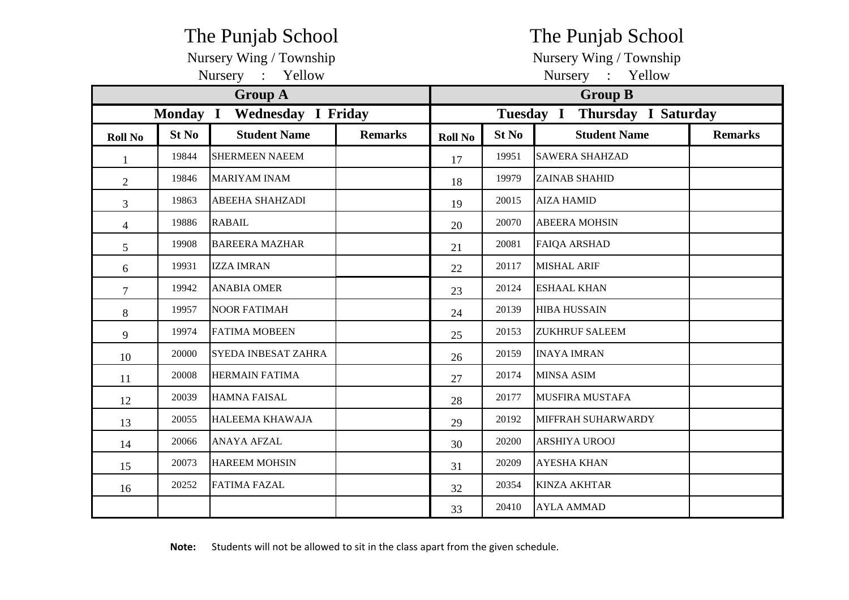|                 | The Punjab School           |                            |                |                         |                               | The Punjab School      |                |  |  |  |  |
|-----------------|-----------------------------|----------------------------|----------------|-------------------------|-------------------------------|------------------------|----------------|--|--|--|--|
|                 |                             | Nursery Wing / Township    |                | Nursery Wing / Township |                               |                        |                |  |  |  |  |
|                 |                             | Nursery : Yellow           |                | Nursery : Yellow        |                               |                        |                |  |  |  |  |
|                 |                             | <b>Group A</b>             |                | <b>Group B</b>          |                               |                        |                |  |  |  |  |
|                 | Monday I Wednesday I Friday |                            |                |                         | Tuesday I Thursday I Saturday |                        |                |  |  |  |  |
| <b>Roll No</b>  | St No                       | <b>Student Name</b>        | <b>Remarks</b> | <b>Roll No</b>          | St No                         | <b>Student Name</b>    | <b>Remarks</b> |  |  |  |  |
| $\mathbf{1}$    | 19844                       | <b>SHERMEEN NAEEM</b>      |                | 17                      | 19951                         | <b>SAWERA SHAHZAD</b>  |                |  |  |  |  |
| $\overline{2}$  | 19846                       | <b>MARIYAM INAM</b>        |                | 18                      | 19979                         | <b>ZAINAB SHAHID</b>   |                |  |  |  |  |
| $\overline{3}$  | 19863                       | <b>ABEEHA SHAHZADI</b>     |                | 19                      | 20015                         | <b>AIZA HAMID</b>      |                |  |  |  |  |
| $\overline{4}$  | 19886                       | <b>RABAIL</b>              |                | 20                      | 20070                         | <b>ABEERA MOHSIN</b>   |                |  |  |  |  |
| $5\overline{)}$ | 19908                       | <b>BAREERA MAZHAR</b>      |                | 21                      | 20081                         | <b>FAIQA ARSHAD</b>    |                |  |  |  |  |
| 6               | 19931                       | <b>IZZA IMRAN</b>          |                | 22                      | 20117                         | <b>MISHAL ARIF</b>     |                |  |  |  |  |
| $\overline{7}$  | 19942                       | <b>ANABIA OMER</b>         |                | 23                      | 20124                         | <b>ESHAAL KHAN</b>     |                |  |  |  |  |
| 8               | 19957                       | <b>NOOR FATIMAH</b>        |                | 24                      | 20139                         | <b>HIBA HUSSAIN</b>    |                |  |  |  |  |
| 9               | 19974                       | <b>FATIMA MOBEEN</b>       |                | 25                      | 20153                         | <b>ZUKHRUF SALEEM</b>  |                |  |  |  |  |
| 10              | 20000                       | <b>SYEDA INBESAT ZAHRA</b> |                | 26                      | 20159                         | <b>INAYA IMRAN</b>     |                |  |  |  |  |
| 11              | 20008                       | <b>HERMAIN FATIMA</b>      |                | 27                      | 20174                         | <b>MINSA ASIM</b>      |                |  |  |  |  |
| 12              | 20039                       | <b>HAMNA FAISAL</b>        |                | 28                      | 20177                         | <b>MUSFIRA MUSTAFA</b> |                |  |  |  |  |
| 13              | 20055                       | <b>HALEEMA KHAWAJA</b>     |                | 29                      | 20192                         | MIFFRAH SUHARWARDY     |                |  |  |  |  |
| 14              | 20066                       | <b>ANAYA AFZAL</b>         |                | 30                      | 20200                         | ARSHIYA UROOJ          |                |  |  |  |  |
| 15              | 20073                       | <b>HAREEM MOHSIN</b>       |                | 31                      | 20209                         | <b>AYESHA KHAN</b>     |                |  |  |  |  |
| 16              | 20252                       | <b>FATIMA FAZAL</b>        |                | 32                      | 20354                         | <b>KINZA AKHTAR</b>    |                |  |  |  |  |
|                 |                             |                            |                | 33                      | 20410                         | <b>AYLA AMMAD</b>      |                |  |  |  |  |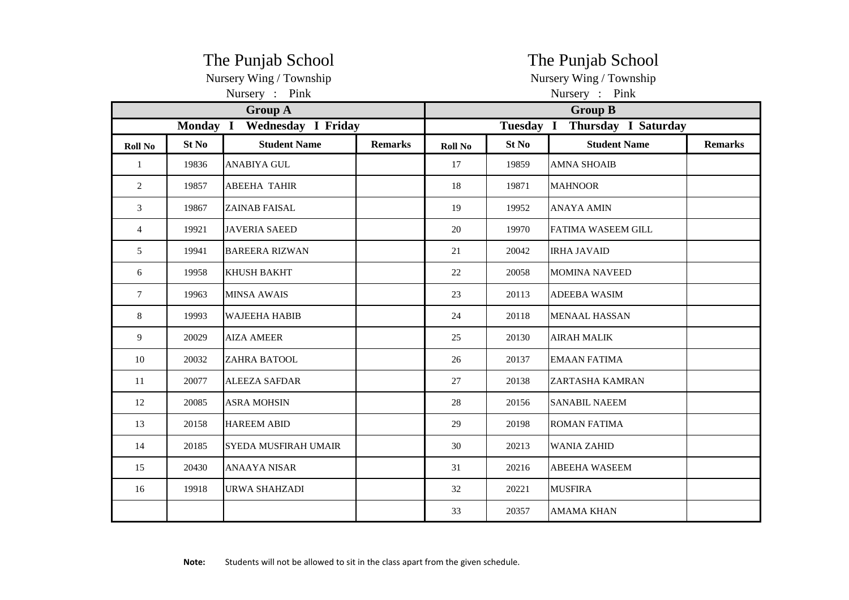|                |       | The Punjab School<br>Nursery Wing / Township |                | The Punjab School<br>Nursery Wing / Township |       |                               |                |  |  |
|----------------|-------|----------------------------------------------|----------------|----------------------------------------------|-------|-------------------------------|----------------|--|--|
|                |       | Nursery : Pink                               |                | Nursery : Pink                               |       |                               |                |  |  |
|                |       | <b>Group A</b>                               |                | <b>Group B</b>                               |       |                               |                |  |  |
|                |       | Monday I Wednesday I Friday                  |                |                                              |       | Tuesday I Thursday I Saturday |                |  |  |
| <b>Roll No</b> | St No | <b>Student Name</b>                          | <b>Remarks</b> | <b>Roll No</b>                               | St No | <b>Student Name</b>           | <b>Remarks</b> |  |  |
| $\mathbf{1}$   | 19836 | <b>ANABIYA GUL</b>                           |                | 17                                           | 19859 | <b>AMNA SHOAIB</b>            |                |  |  |
| $\overline{2}$ | 19857 | <b>ABEEHA TAHIR</b>                          |                | 18                                           | 19871 | <b>MAHNOOR</b>                |                |  |  |
| 3              | 19867 | <b>ZAINAB FAISAL</b>                         |                | 19                                           | 19952 | <b>ANAYA AMIN</b>             |                |  |  |
| $\overline{4}$ | 19921 | <b>JAVERIA SAEED</b>                         |                | 20                                           | 19970 | <b>FATIMA WASEEM GILL</b>     |                |  |  |
| 5              | 19941 | <b>BAREERA RIZWAN</b>                        |                | 21                                           | 20042 | <b>IRHA JAVAID</b>            |                |  |  |
| 6              | 19958 | <b>KHUSH BAKHT</b>                           |                | 22                                           | 20058 | <b>MOMINA NAVEED</b>          |                |  |  |
| $\tau$         | 19963 | <b>MINSA AWAIS</b>                           |                | 23                                           | 20113 | <b>ADEEBA WASIM</b>           |                |  |  |
| $\,8\,$        | 19993 | <b>WAJEEHA HABIB</b>                         |                | 24                                           | 20118 | <b>MENAAL HASSAN</b>          |                |  |  |
| 9              | 20029 | <b>AIZA AMEER</b>                            |                | 25                                           | 20130 | <b>AIRAH MALIK</b>            |                |  |  |
| 10             | 20032 | <b>ZAHRA BATOOL</b>                          |                | 26                                           | 20137 | <b>EMAAN FATIMA</b>           |                |  |  |
| 11             | 20077 | <b>ALEEZA SAFDAR</b>                         |                | 27                                           | 20138 | ZARTASHA KAMRAN               |                |  |  |
| 12             | 20085 | <b>ASRA MOHSIN</b>                           |                | 28                                           | 20156 | <b>SANABIL NAEEM</b>          |                |  |  |
| 13             | 20158 | <b>HAREEM ABID</b>                           |                | 29                                           | 20198 | <b>ROMAN FATIMA</b>           |                |  |  |
| 14             | 20185 | <b>SYEDA MUSFIRAH UMAIR</b>                  |                | 30                                           | 20213 | <b>WANIA ZAHID</b>            |                |  |  |
| 15             | 20430 | <b>ANAAYA NISAR</b>                          |                | 31                                           | 20216 | <b>ABEEHA WASEEM</b>          |                |  |  |
| 16             | 19918 | <b>URWA SHAHZADI</b>                         |                | 32                                           | 20221 | <b>MUSFIRA</b>                |                |  |  |
|                |       |                                              |                | 33                                           | 20357 | <b>AMAMA KHAN</b>             |                |  |  |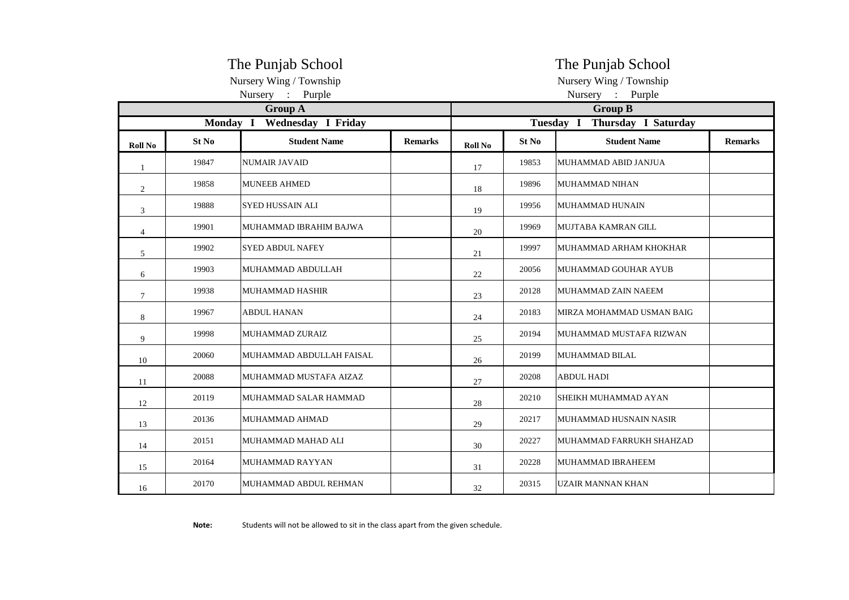|                |       | The Punjab School           |                | The Punjab School                |       |                            |                |  |  |  |
|----------------|-------|-----------------------------|----------------|----------------------------------|-------|----------------------------|----------------|--|--|--|
|                |       | Nursery Wing / Township     |                |                                  |       | Nursery Wing / Township    |                |  |  |  |
|                |       | Nursery : Purple            |                | Nursery : Purple                 |       |                            |                |  |  |  |
|                |       | <b>Group A</b>              |                | <b>Group B</b>                   |       |                            |                |  |  |  |
|                |       | Monday I Wednesday I Friday |                | Tuesday I<br>Thursday I Saturday |       |                            |                |  |  |  |
| <b>Roll No</b> | St No | <b>Student Name</b>         | <b>Remarks</b> | <b>Roll No</b>                   | St No | <b>Student Name</b>        | <b>Remarks</b> |  |  |  |
| $\mathbf{1}$   | 19847 | <b>NUMAIR JAVAID</b>        |                | 17                               | 19853 | MUHAMMAD ABID JANJUA       |                |  |  |  |
| 2              | 19858 | <b>MUNEEB AHMED</b>         |                | 18                               | 19896 | MUHAMMAD NIHAN             |                |  |  |  |
| 3              | 19888 | <b>SYED HUSSAIN ALI</b>     |                | 19                               | 19956 | MUHAMMAD HUNAIN            |                |  |  |  |
| 4              | 19901 | MUHAMMAD IBRAHIM BAJWA      |                | 20                               | 19969 | MUJTABA KAMRAN GILL        |                |  |  |  |
| 5              | 19902 | <b>SYED ABDUL NAFEY</b>     |                | 21                               | 19997 | MUHAMMAD ARHAM KHOKHAR     |                |  |  |  |
| 6              | 19903 | MUHAMMAD ABDULLAH           |                | 22                               | 20056 | MUHAMMAD GOUHAR AYUB       |                |  |  |  |
| $\tau$         | 19938 | MUHAMMAD HASHIR             |                | 23                               | 20128 | <b>MUHAMMAD ZAIN NAEEM</b> |                |  |  |  |
| 8              | 19967 | <b>ABDUL HANAN</b>          |                | 24                               | 20183 | MIRZA MOHAMMAD USMAN BAIG  |                |  |  |  |
| 9              | 19998 | MUHAMMAD ZURAIZ             |                | 25                               | 20194 | MUHAMMAD MUSTAFA RIZWAN    |                |  |  |  |
| 10             | 20060 | MUHAMMAD ABDULLAH FAISAL    |                | 26                               | 20199 | MUHAMMAD BILAL             |                |  |  |  |
| 11             | 20088 | MUHAMMAD MUSTAFA AIZAZ      |                | 27                               | 20208 | <b>ABDUL HADI</b>          |                |  |  |  |
| 12             | 20119 | MUHAMMAD SALAR HAMMAD       |                | 28                               | 20210 | SHEIKH MUHAMMAD AYAN       |                |  |  |  |
| 13             | 20136 | <b>MUHAMMAD AHMAD</b>       |                | 29                               | 20217 | MUHAMMAD HUSNAIN NASIR     |                |  |  |  |
| 14             | 20151 | MUHAMMAD MAHAD ALI          |                | 30                               | 20227 | MUHAMMAD FARRUKH SHAHZAD   |                |  |  |  |
| 15             | 20164 | MUHAMMAD RAYYAN             |                | 31                               | 20228 | MUHAMMAD IBRAHEEM          |                |  |  |  |
| 16             | 20170 | MUHAMMAD ABDUL REHMAN       |                | 32                               | 20315 | IUZAIR MANNAN KHAN         |                |  |  |  |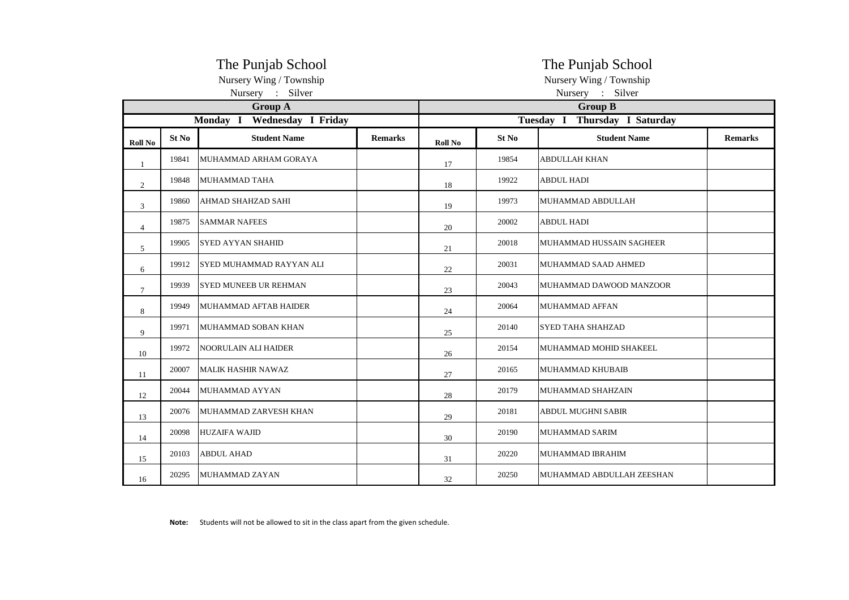|                |       | The Punjab School<br>Nursery Wing / Township |                | The Punjab School<br>Nursery Wing / Township |       |                           |                |  |  |  |
|----------------|-------|----------------------------------------------|----------------|----------------------------------------------|-------|---------------------------|----------------|--|--|--|
|                |       | Nursery : Silver                             |                | Nursery : Silver                             |       |                           |                |  |  |  |
|                |       | <b>Group A</b>                               |                | <b>Group B</b>                               |       |                           |                |  |  |  |
|                |       | Monday I Wednesday I Friday                  |                | Tuesday I Thursday I Saturday                |       |                           |                |  |  |  |
| <b>Roll No</b> | St No | <b>Student Name</b>                          | <b>Remarks</b> | <b>Roll No</b>                               | St No | <b>Student Name</b>       | <b>Remarks</b> |  |  |  |
| 1              | 19841 | MUHAMMAD ARHAM GORAYA                        |                | 17                                           | 19854 | ABDULLAH KHAN             |                |  |  |  |
| 2              | 19848 | MUHAMMAD TAHA                                |                | 18                                           | 19922 | <b>ABDUL HADI</b>         |                |  |  |  |
| 3              | 19860 | AHMAD SHAHZAD SAHI                           |                | 19                                           | 19973 | MUHAMMAD ABDULLAH         |                |  |  |  |
| $\overline{4}$ | 19875 | <b>SAMMAR NAFEES</b>                         |                | 20                                           | 20002 | <b>ABDUL HADI</b>         |                |  |  |  |
| 5              | 19905 | <b>SYED AYYAN SHAHID</b>                     |                | 21                                           | 20018 | MUHAMMAD HUSSAIN SAGHEER  |                |  |  |  |
| 6              | 19912 | SYED MUHAMMAD RAYYAN ALI                     |                | 22                                           | 20031 | MUHAMMAD SAAD AHMED       |                |  |  |  |
| $\tau$         | 19939 | SYED MUNEEB UR REHMAN                        |                | 23                                           | 20043 | MUHAMMAD DAWOOD MANZOOR   |                |  |  |  |
| 8              | 19949 | MUHAMMAD AFTAB HAIDER                        |                | 24                                           | 20064 | MUHAMMAD AFFAN            |                |  |  |  |
| 9              | 19971 | MUHAMMAD SOBAN KHAN                          |                | 25                                           | 20140 | <b>SYED TAHA SHAHZAD</b>  |                |  |  |  |
| 10             | 19972 | <b>NOORULAIN ALI HAIDER</b>                  |                | 26                                           | 20154 | MUHAMMAD MOHID SHAKEEL    |                |  |  |  |
| 11             | 20007 | <b>MALIK HASHIR NAWAZ</b>                    |                | 27                                           | 20165 | <b>MUHAMMAD KHUBAIB</b>   |                |  |  |  |
| 12             | 20044 | MUHAMMAD AYYAN                               |                | 28                                           | 20179 | MUHAMMAD SHAHZAIN         |                |  |  |  |
| 13             | 20076 | MUHAMMAD ZARVESH KHAN                        |                | 29                                           | 20181 | <b>ABDUL MUGHNI SABIR</b> |                |  |  |  |
| 14             | 20098 | <b>HUZAIFA WAJID</b>                         |                | 30                                           | 20190 | <b>MUHAMMAD SARIM</b>     |                |  |  |  |
| 15             | 20103 | <b>ABDUL AHAD</b>                            |                | 31                                           | 20220 | MUHAMMAD IBRAHIM          |                |  |  |  |
| 16             | 20295 | MUHAMMAD ZAYAN                               |                | 32                                           | 20250 | MUHAMMAD ABDULLAH ZEESHAN |                |  |  |  |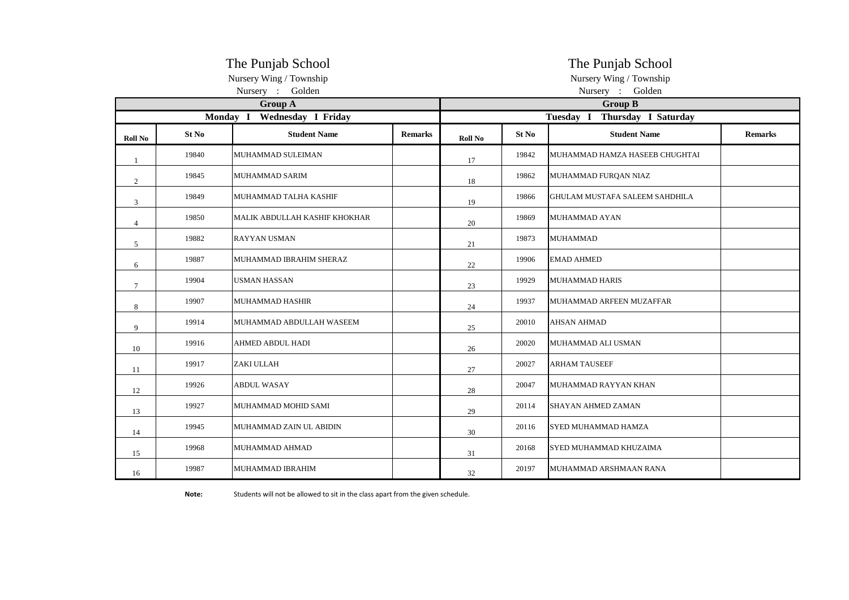|                |       | The Punjab School                          |                | The Punjab School<br>Nursery Wing / Township |       |                                 |                |  |  |
|----------------|-------|--------------------------------------------|----------------|----------------------------------------------|-------|---------------------------------|----------------|--|--|
|                |       | Nursery Wing / Township<br>Nursery: Golden |                | Nursery : Golden                             |       |                                 |                |  |  |
|                |       | <b>Group A</b>                             |                | <b>Group B</b>                               |       |                                 |                |  |  |
|                |       | Monday I Wednesday I Friday                |                | Tuesday I<br>Thursday I Saturday             |       |                                 |                |  |  |
| <b>Roll No</b> | St No | <b>Student Name</b>                        | <b>Remarks</b> | <b>Roll No</b>                               | St No | <b>Student Name</b>             | <b>Remarks</b> |  |  |
| 1              | 19840 | MUHAMMAD SULEIMAN                          |                | 17                                           | 19842 | MUHAMMAD HAMZA HASEEB CHUGHTAI  |                |  |  |
| 2              | 19845 | MUHAMMAD SARIM                             |                | 18                                           | 19862 | MUHAMMAD FURQAN NIAZ            |                |  |  |
| 3              | 19849 | MUHAMMAD TALHA KASHIF                      |                | 19                                           | 19866 | IGHULAM MUSTAFA SALEEM SAHDHILA |                |  |  |
| 4              | 19850 | MALIK ABDULLAH KASHIF KHOKHAR              |                | 20                                           | 19869 | <b>MUHAMMAD AYAN</b>            |                |  |  |
| 5              | 19882 | <b>RAYYAN USMAN</b>                        |                | 21                                           | 19873 | <b>MUHAMMAD</b>                 |                |  |  |
| 6              | 19887 | MUHAMMAD IBRAHIM SHERAZ                    |                | 22                                           | 19906 | <b>EMAD AHMED</b>               |                |  |  |
| $\tau$         | 19904 | <b>USMAN HASSAN</b>                        |                | 23                                           | 19929 | <b>MUHAMMAD HARIS</b>           |                |  |  |
| $\,8\,$        | 19907 | <b>MUHAMMAD HASHIR</b>                     |                | 24                                           | 19937 | MUHAMMAD ARFEEN MUZAFFAR        |                |  |  |
| 9              | 19914 | MUHAMMAD ABDULLAH WASEEM                   |                | 25                                           | 20010 | <b>AHSAN AHMAD</b>              |                |  |  |
| 10             | 19916 | AHMED ABDUL HADI                           |                | 26                                           | 20020 | MUHAMMAD ALI USMAN              |                |  |  |
| 11             | 19917 | ZAKI ULLAH                                 |                | 27                                           | 20027 | <b>ARHAM TAUSEEF</b>            |                |  |  |
| 12             | 19926 | <b>ABDUL WASAY</b>                         |                | 28                                           | 20047 | MUHAMMAD RAYYAN KHAN            |                |  |  |
| 13             | 19927 | MUHAMMAD MOHID SAMI                        |                | 29                                           | 20114 | <b>SHAYAN AHMED ZAMAN</b>       |                |  |  |
| 14             | 19945 | MUHAMMAD ZAIN UL ABIDIN                    |                | 30                                           | 20116 | <b>SYED MUHAMMAD HAMZA</b>      |                |  |  |
| 15             | 19968 | MUHAMMAD AHMAD                             |                | 31                                           | 20168 | SYED MUHAMMAD KHUZAIMA          |                |  |  |
| 16             | 19987 | MUHAMMAD IBRAHIM                           |                | 32                                           | 20197 | MUHAMMAD ARSHMAAN RANA          |                |  |  |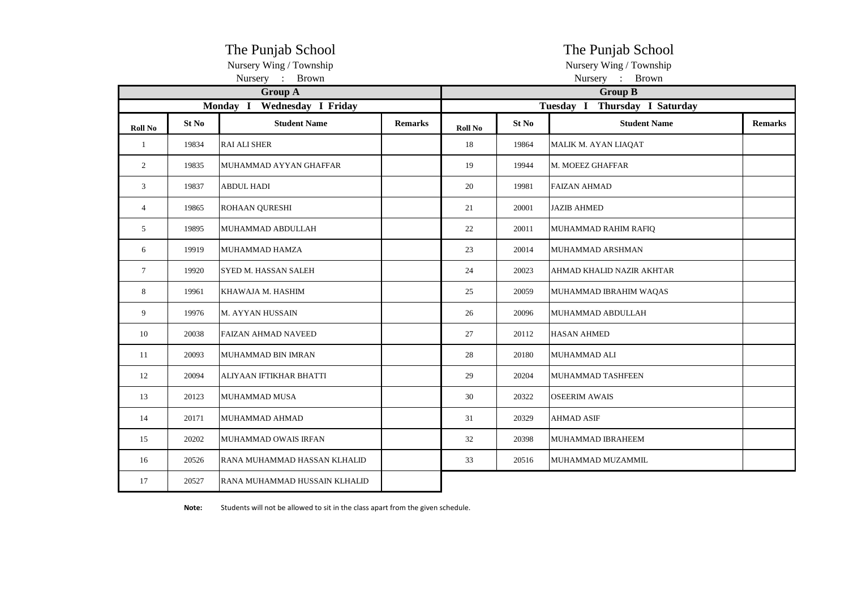|                |       | The Punjab School              |                | The Punjab School |                         |                                  |                |  |  |  |
|----------------|-------|--------------------------------|----------------|-------------------|-------------------------|----------------------------------|----------------|--|--|--|
|                |       | Nursery Wing / Township        |                |                   | Nursery Wing / Township |                                  |                |  |  |  |
|                |       | Nursery : Brown                |                | Nursery : Brown   |                         |                                  |                |  |  |  |
|                |       | <b>Group A</b>                 |                |                   | <b>Group B</b>          |                                  |                |  |  |  |
|                |       | Wednesday I Friday<br>Monday I |                |                   |                         | Thursday I Saturday<br>Tuesday I |                |  |  |  |
| Roll No        | St No | <b>Student Name</b>            | <b>Remarks</b> | Roll No           | St No                   | <b>Student Name</b>              | <b>Remarks</b> |  |  |  |
| $\mathbf{1}$   | 19834 | <b>RAI ALI SHER</b>            |                | 18                | 19864                   | MALIK M. AYAN LIAQAT             |                |  |  |  |
| 2              | 19835 | MUHAMMAD AYYAN GHAFFAR         |                | 19                | 19944                   | M. MOEEZ GHAFFAR                 |                |  |  |  |
| 3              | 19837 | <b>ABDUL HADI</b>              |                | 20                | 19981                   | <b>FAIZAN AHMAD</b>              |                |  |  |  |
| $\overline{4}$ | 19865 | ROHAAN QURESHI                 |                | 21                | 20001                   | <b>JAZIB AHMED</b>               |                |  |  |  |
| 5              | 19895 | MUHAMMAD ABDULLAH              |                | 22                | 20011                   | MUHAMMAD RAHIM RAFIQ             |                |  |  |  |
| 6              | 19919 | MUHAMMAD HAMZA                 |                | 23                | 20014                   | MUHAMMAD ARSHMAN                 |                |  |  |  |
| $\tau$         | 19920 | SYED M. HASSAN SALEH           |                | 24                | 20023                   | AHMAD KHALID NAZIR AKHTAR        |                |  |  |  |
| 8              | 19961 | KHAWAJA M. HASHIM              |                | 25                | 20059                   | MUHAMMAD IBRAHIM WAQAS           |                |  |  |  |
| 9              | 19976 | M. AYYAN HUSSAIN               |                | 26                | 20096                   | MUHAMMAD ABDULLAH                |                |  |  |  |
| 10             | 20038 | <b>FAIZAN AHMAD NAVEED</b>     |                | 27                | 20112                   | <b>HASAN AHMED</b>               |                |  |  |  |
| 11             | 20093 | MUHAMMAD BIN IMRAN             |                | 28                | 20180                   | MUHAMMAD ALI                     |                |  |  |  |
| 12             | 20094 | ALIYAAN IFTIKHAR BHATTI        |                | 29                | 20204                   | MUHAMMAD TASHFEEN                |                |  |  |  |
| 13             | 20123 | MUHAMMAD MUSA                  |                | 30                | 20322                   | <b>OSEERIM AWAIS</b>             |                |  |  |  |
| 14             | 20171 | MUHAMMAD AHMAD                 |                | 31                | 20329                   | AHMAD ASIF                       |                |  |  |  |
| 15             | 20202 | MUHAMMAD OWAIS IRFAN           |                | 32                | 20398                   | MUHAMMAD IBRAHEEM                |                |  |  |  |
| 16             | 20526 | RANA MUHAMMAD HASSAN KLHALID   |                | 33                | 20516                   | MUHAMMAD MUZAMMIL                |                |  |  |  |
| 17             | 20527 | RANA MUHAMMAD HUSSAIN KLHALID  |                |                   |                         |                                  |                |  |  |  |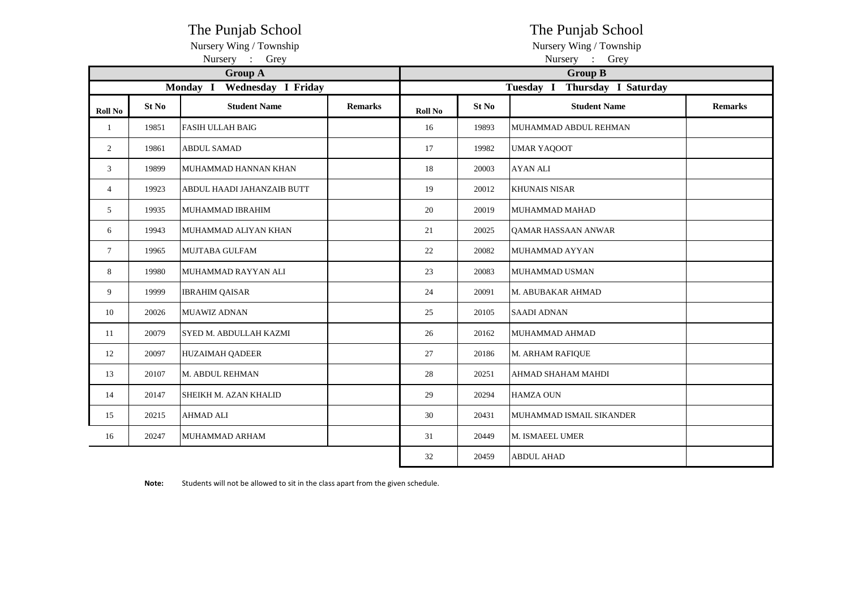| The Punjab School       | The Punjab School       |
|-------------------------|-------------------------|
| Nursery Wing / Township | Nursery Wing / Township |

|                 |       | Nursery :<br>Grey              |                | Nursery<br>$\sim 10$<br>Grey     |       |                          |                |  |  |  |
|-----------------|-------|--------------------------------|----------------|----------------------------------|-------|--------------------------|----------------|--|--|--|
|                 |       | <b>Group A</b>                 |                | <b>Group B</b>                   |       |                          |                |  |  |  |
|                 |       | Monday I<br>Wednesday I Friday |                | Thursday I Saturday<br>Tuesday I |       |                          |                |  |  |  |
| <b>Roll No</b>  | St No | <b>Student Name</b>            | <b>Remarks</b> | Roll No                          | St No | <b>Student Name</b>      | <b>Remarks</b> |  |  |  |
| 1               | 19851 | <b>FASIH ULLAH BAIG</b>        |                | 16                               | 19893 | MUHAMMAD ABDUL REHMAN    |                |  |  |  |
| $\overline{2}$  | 19861 | <b>ABDUL SAMAD</b>             |                | 17                               | 19982 | <b>UMAR YAQOOT</b>       |                |  |  |  |
| 3               | 19899 | MUHAMMAD HANNAN KHAN           |                | 18                               | 20003 | <b>AYAN ALI</b>          |                |  |  |  |
| $\overline{4}$  | 19923 | ABDUL HAADI JAHANZAIB BUTT     |                | 19                               | 20012 | <b>KHUNAIS NISAR</b>     |                |  |  |  |
| 5               | 19935 | MUHAMMAD IBRAHIM               |                | 20                               | 20019 | MUHAMMAD MAHAD           |                |  |  |  |
| 6               | 19943 | MUHAMMAD ALIYAN KHAN           |                | 21                               | 20025 | QAMAR HASSAAN ANWAR      |                |  |  |  |
| $7\overline{ }$ | 19965 | MUJTABA GULFAM                 |                | 22                               | 20082 | MUHAMMAD AYYAN           |                |  |  |  |
| 8               | 19980 | MUHAMMAD RAYYAN ALI            |                | 23                               | 20083 | MUHAMMAD USMAN           |                |  |  |  |
| 9               | 19999 | <b>IBRAHIM QAISAR</b>          |                | 24                               | 20091 | M. ABUBAKAR AHMAD        |                |  |  |  |
| 10              | 20026 | <b>MUAWIZ ADNAN</b>            |                | 25                               | 20105 | <b>SAADI ADNAN</b>       |                |  |  |  |
| 11              | 20079 | SYED M. ABDULLAH KAZMI         |                | 26                               | 20162 | MUHAMMAD AHMAD           |                |  |  |  |
| 12              | 20097 | <b>HUZAIMAH QADEER</b>         |                | 27                               | 20186 | M. ARHAM RAFIQUE         |                |  |  |  |
| 13              | 20107 | M. ABDUL REHMAN                |                | 28                               | 20251 | AHMAD SHAHAM MAHDI       |                |  |  |  |
| 14              | 20147 | SHEIKH M. AZAN KHALID          |                | 29                               | 20294 | <b>HAMZA OUN</b>         |                |  |  |  |
| 15              | 20215 | <b>AHMAD ALI</b>               |                | 30                               | 20431 | MUHAMMAD ISMAIL SIKANDER |                |  |  |  |
| 16              | 20247 | MUHAMMAD ARHAM                 |                | 31                               | 20449 | M. ISMAEEL UMER          |                |  |  |  |
|                 |       |                                |                | 32                               | 20459 | <b>ABDUL AHAD</b>        |                |  |  |  |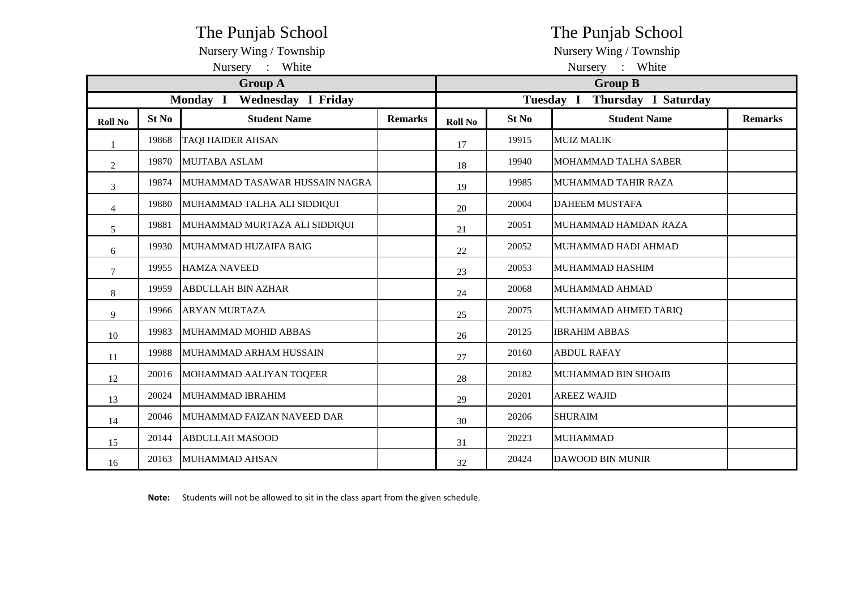| The Punjab School           |       |                                |                 |                | The Punjab School                       |                             |                |  |  |
|-----------------------------|-------|--------------------------------|-----------------|----------------|-----------------------------------------|-----------------------------|----------------|--|--|
| Nursery Wing / Township     |       |                                |                 |                | Nursery Wing / Township                 |                             |                |  |  |
|                             |       | Nursery : White                | Nursery : White |                |                                         |                             |                |  |  |
| <b>Group A</b>              |       |                                |                 |                | <b>Group B</b>                          |                             |                |  |  |
| Monday I Wednesday I Friday |       |                                |                 |                | Tuesday I<br><b>Thursday I Saturday</b> |                             |                |  |  |
| <b>Roll No</b>              | St No | <b>Student Name</b>            | <b>Remarks</b>  | <b>Roll No</b> | St No                                   | <b>Student Name</b>         | <b>Remarks</b> |  |  |
|                             | 19868 | <b>TAQI HAIDER AHSAN</b>       |                 | 17             | 19915                                   | <b>MUIZ MALIK</b>           |                |  |  |
| $\overline{2}$              | 19870 | <b>MUJTABA ASLAM</b>           |                 | 18             | 19940                                   | <b>MOHAMMAD TALHA SABER</b> |                |  |  |
| 3                           | 19874 | MUHAMMAD TASAWAR HUSSAIN NAGRA |                 | 19             | 19985                                   | MUHAMMAD TAHIR RAZA         |                |  |  |
| $\overline{4}$              | 19880 | MUHAMMAD TALHA ALI SIDDIQUI    |                 | 20             | 20004                                   | <b>DAHEEM MUSTAFA</b>       |                |  |  |
| 5                           | 19881 | MUHAMMAD MURTAZA ALI SIDDIQUI  |                 | 21             | 20051                                   | MUHAMMAD HAMDAN RAZA        |                |  |  |
| 6                           | 19930 | MUHAMMAD HUZAIFA BAIG          |                 | 22             | 20052                                   | MUHAMMAD HADI AHMAD         |                |  |  |
| $\tau$                      | 19955 | <b>HAMZA NAVEED</b>            |                 | 23             | 20053                                   | MUHAMMAD HASHIM             |                |  |  |
| 8                           | 19959 | <b>ABDULLAH BIN AZHAR</b>      |                 | 24             | 20068                                   | MUHAMMAD AHMAD              |                |  |  |
| $\mathbf Q$                 | 19966 | <b>ARYAN MURTAZA</b>           |                 | 25             | 20075                                   | MUHAMMAD AHMED TARIQ        |                |  |  |
| 10                          | 19983 | MUHAMMAD MOHID ABBAS           |                 | 26             | 20125                                   | <b>IBRAHIM ABBAS</b>        |                |  |  |
| 11                          | 19988 | <b>IMUHAMMAD ARHAM HUSSAIN</b> |                 | 27             | 20160                                   | <b>ABDUL RAFAY</b>          |                |  |  |
| 12                          | 20016 | MOHAMMAD AALIYAN TOQEER        |                 | 28             | 20182                                   | MUHAMMAD BIN SHOAIB         |                |  |  |
| 13                          | 20024 | MUHAMMAD IBRAHIM               |                 | 29             | 20201                                   | <b>AREEZ WAJID</b>          |                |  |  |
| 14                          | 20046 | MUHAMMAD FAIZAN NAVEED DAR     |                 | 30             | 20206                                   | <b>SHURAIM</b>              |                |  |  |
| 15                          | 20144 | <b>ABDULLAH MASOOD</b>         |                 | 31             | 20223                                   | <b>MUHAMMAD</b>             |                |  |  |
| 16                          | 20163 | MUHAMMAD AHSAN                 |                 | 32             | 20424                                   | <b>DAWOOD BIN MUNIR</b>     |                |  |  |